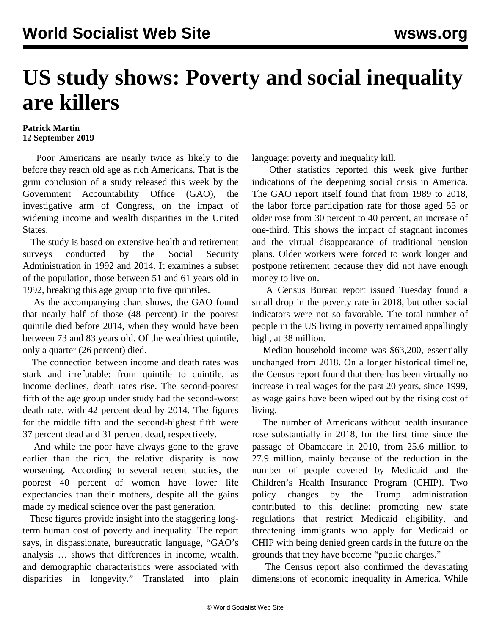## **US study shows: Poverty and social inequality are killers**

## **Patrick Martin 12 September 2019**

 Poor Americans are nearly twice as likely to die before they reach old age as rich Americans. That is the grim conclusion of a study released this week by the Government Accountability Office (GAO), the investigative arm of Congress, on the impact of widening income and wealth disparities in the United States.

 The study is based on extensive health and retirement surveys conducted by the Social Security Administration in 1992 and 2014. It examines a subset of the population, those between 51 and 61 years old in 1992, breaking this age group into five quintiles.

 As the accompanying chart shows, the GAO found that nearly half of those (48 percent) in the poorest quintile died before 2014, when they would have been between 73 and 83 years old. Of the wealthiest quintile, only a quarter (26 percent) died.

 The connection between income and death rates was stark and irrefutable: from quintile to quintile, as income declines, death rates rise. The second-poorest fifth of the age group under study had the second-worst death rate, with 42 percent dead by 2014. The figures for the middle fifth and the second-highest fifth were 37 percent dead and 31 percent dead, respectively.

 And while the poor have always gone to the grave earlier than the rich, the relative disparity is now worsening. According to several recent studies, the poorest 40 percent of women have lower life expectancies than their mothers, despite all the gains made by medical science over the past generation.

 These figures provide insight into the staggering longterm human cost of poverty and inequality. The report says, in dispassionate, bureaucratic language, "GAO's analysis … shows that differences in income, wealth, and demographic characteristics were associated with disparities in longevity." Translated into plain language: poverty and inequality kill.

 Other statistics reported this week give further indications of the deepening social crisis in America. The GAO report itself found that from 1989 to 2018, the labor force participation rate for those aged 55 or older rose from 30 percent to 40 percent, an increase of one-third. This shows the impact of stagnant incomes and the virtual disappearance of traditional pension plans. Older workers were forced to work longer and postpone retirement because they did not have enough money to live on.

 A Census Bureau report issued Tuesday found a small drop in the poverty rate in 2018, but other social indicators were not so favorable. The total number of people in the US living in poverty remained appallingly high, at 38 million.

 Median household income was \$63,200, essentially unchanged from 2018. On a longer historical timeline, the Census report found that there has been virtually no increase in real wages for the past 20 years, since 1999, as wage gains have been wiped out by the rising cost of living.

 The number of Americans without health insurance rose substantially in 2018, for the first time since the passage of Obamacare in 2010, from 25.6 million to 27.9 million, mainly because of the reduction in the number of people covered by Medicaid and the Children's Health Insurance Program (CHIP). Two policy changes by the Trump administration contributed to this decline: promoting new state regulations that restrict Medicaid eligibility, and threatening immigrants who apply for Medicaid or CHIP with being denied green cards in the future on the grounds that they have become "public charges."

 The Census report also confirmed the devastating dimensions of economic inequality in America. While